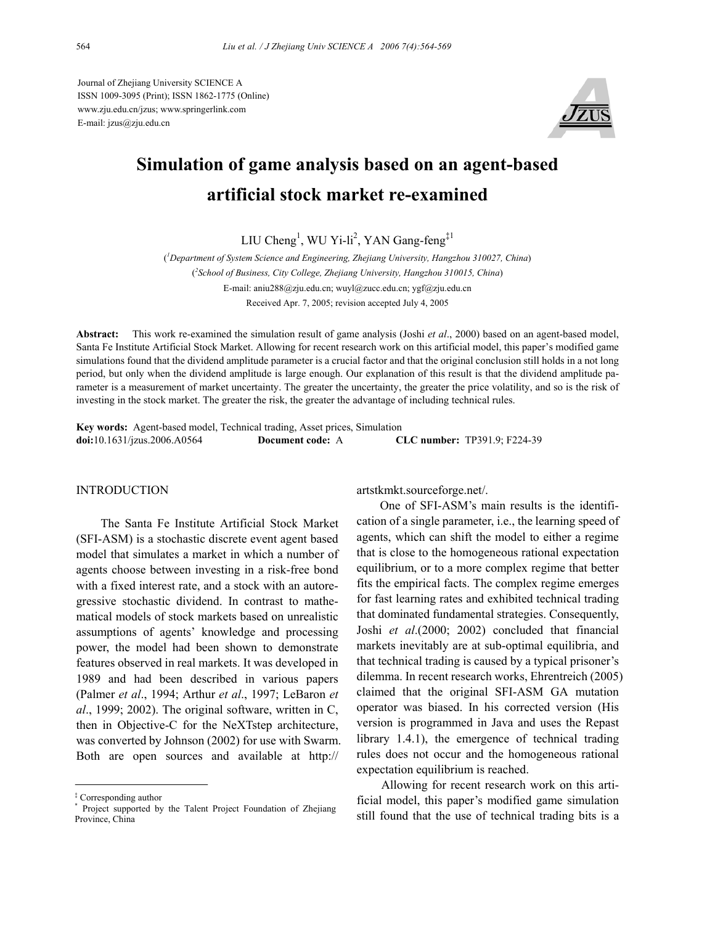Journal of Zhejiang University SCIENCE A ISSN 1009-3095 (Print); ISSN 1862-1775 (Online) www.zju.edu.cn/jzus; www.springerlink.com E-mail: jzus@zju.edu.cn



# **Simulation of game analysis based on an agent-based artificial stock market re-examined**

LIU Cheng<sup>1</sup>, WU Yi-li<sup>2</sup>, YAN Gang-feng<sup>‡1</sup>

( *1 Department of System Science and Engineering, Zhejiang University, Hangzhou 310027, China*) ( *2 School of Business, City College, Zhejiang University, Hangzhou 310015, China*) E-mail: aniu288@zju.edu.cn; wuyl@zucc.edu.cn; ygf@zju.edu.cn Received Apr. 7, 2005; revision accepted July 4, 2005

**Abstract:** This work re-examined the simulation result of game analysis (Joshi *et al*., 2000) based on an agent-based model, Santa Fe Institute Artificial Stock Market. Allowing for recent research work on this artificial model, this paper's modified game simulations found that the dividend amplitude parameter is a crucial factor and that the original conclusion still holds in a not long period, but only when the dividend amplitude is large enough. Our explanation of this result is that the dividend amplitude parameter is a measurement of market uncertainty. The greater the uncertainty, the greater the price volatility, and so is the risk of investing in the stock market. The greater the risk, the greater the advantage of including technical rules.

**Key words:** Agent-based model, Technical trading, Asset prices, Simulation **doi:**10.1631/jzus.2006.A0564 **Document code:** A **CLC number:** TP391.9; F224-39

## **INTRODUCTION**

The Santa Fe Institute Artificial Stock Market (SFI-ASM) is a stochastic discrete event agent based model that simulates a market in which a number of agents choose between investing in a risk-free bond with a fixed interest rate, and a stock with an autoregressive stochastic dividend. In contrast to mathematical models of stock markets based on unrealistic assumptions of agents' knowledge and processing power, the model had been shown to demonstrate features observed in real markets. It was developed in 1989 and had been described in various papers (Palmer *et al*., 1994; Arthur *et al*., 1997; LeBaron *et al*., 1999; 2002). The original software, written in C, then in Objective-C for the NeXTstep architecture, was converted by Johnson (2002) for use with Swarm. Both are open sources and available at http://

artstkmkt.sourceforge.net/.

One of SFI-ASM's main results is the identification of a single parameter, i.e., the learning speed of agents, which can shift the model to either a regime that is close to the homogeneous rational expectation equilibrium, or to a more complex regime that better fits the empirical facts. The complex regime emerges for fast learning rates and exhibited technical trading that dominated fundamental strategies. Consequently, Joshi *et al*.(2000; 2002) concluded that financial markets inevitably are at sub-optimal equilibria, and that technical trading is caused by a typical prisoner's dilemma. In recent research works, Ehrentreich (2005) claimed that the original SFI-ASM GA mutation operator was biased. In his corrected version (His version is programmed in Java and uses the Repast library 1.4.1), the emergence of technical trading rules does not occur and the homogeneous rational expectation equilibrium is reached.

Allowing for recent research work on this artificial model, this paper's modified game simulation still found that the use of technical trading bits is a

<sup>‡</sup> Corresponding author

<sup>\*</sup> Project supported by the Talent Project Foundation of Zhejiang Province, China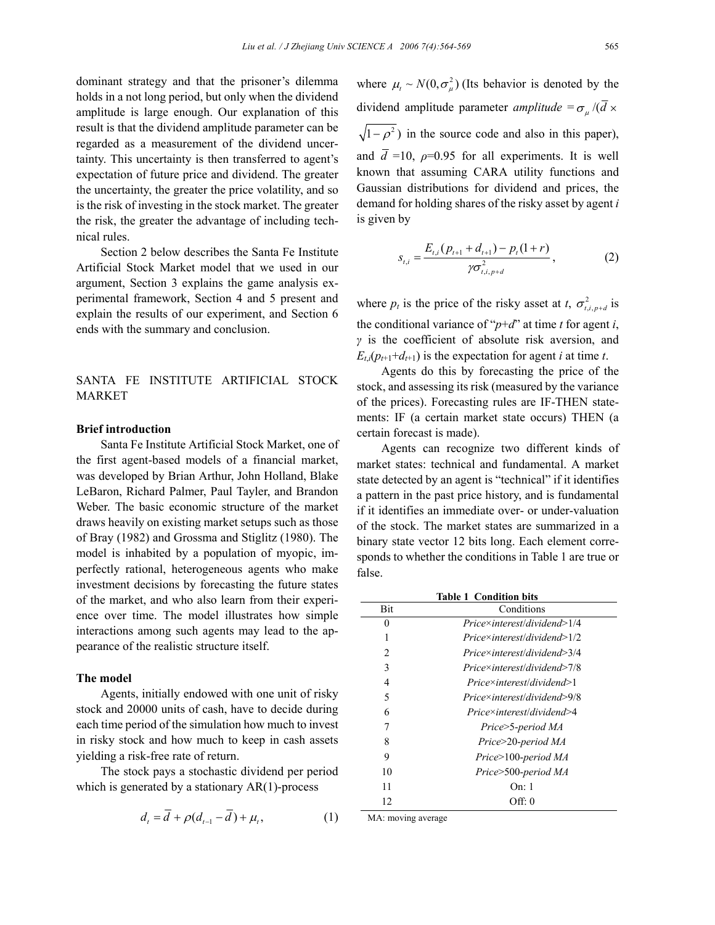dominant strategy and that the prisoner's dilemma holds in a not long period, but only when the dividend amplitude is large enough. Our explanation of this result is that the dividend amplitude parameter can be regarded as a measurement of the dividend uncertainty. This uncertainty is then transferred to agent's expectation of future price and dividend. The greater the uncertainty, the greater the price volatility, and so is the risk of investing in the stock market. The greater the risk, the greater the advantage of including technical rules.

Section 2 below describes the Santa Fe Institute Artificial Stock Market model that we used in our argument, Section 3 explains the game analysis experimental framework, Section 4 and 5 present and explain the results of our experiment, and Section 6 ends with the summary and conclusion.

SANTA FE INSTITUTE ARTIFICIAL STOCK MARKET

## **Brief introduction**

Santa Fe Institute Artificial Stock Market, one of the first agent-based models of a financial market, was developed by Brian Arthur, John Holland, Blake LeBaron, Richard Palmer, Paul Tayler, and Brandon Weber. The basic economic structure of the market draws heavily on existing market setups such as those of Bray (1982) and Grossma and Stiglitz (1980). The model is inhabited by a population of myopic, imperfectly rational, heterogeneous agents who make investment decisions by forecasting the future states of the market, and who also learn from their experience over time. The model illustrates how simple interactions among such agents may lead to the appearance of the realistic structure itself.

## **The model**

Agents, initially endowed with one unit of risky stock and 20000 units of cash, have to decide during each time period of the simulation how much to invest in risky stock and how much to keep in cash assets yielding a risk-free rate of return.

The stock pays a stochastic dividend per period which is generated by a stationary  $AR(1)$ -process

$$
d_t = \overline{d} + \rho(d_{t-1} - \overline{d}) + \mu_t, \qquad (1)
$$

where  $\mu_t \sim N(0, \sigma_u^2)$  (Its behavior is denoted by the dividend amplitude parameter *amplitude* =  $\sigma_{\mu}/(\bar{d} \times$  $\sqrt{1-\rho^2}$ ) in the source code and also in this paper), and  $\overline{d}$  =10,  $\rho$ =0.95 for all experiments. It is well known that assuming CARA utility functions and Gaussian distributions for dividend and prices, the demand for holding shares of the risky asset by agent *i* is given by

$$
s_{t,i} = \frac{E_{t,i}(p_{t+1} + d_{t+1}) - p_t(1+r)}{\gamma \sigma_{t,i,p+d}^2},
$$
 (2)

where  $p_t$  is the price of the risky asset at *t*,  $\sigma_{t,i,p+d}^2$  is the conditional variance of " $p+d$ " at time *t* for agent *i*, *γ* is the coefficient of absolute risk aversion, and  $E_{ti}(p_{t+1}+d_{t+1})$  is the expectation for agent *i* at time *t*.

Agents do this by forecasting the price of the stock, and assessing its risk (measured by the variance of the prices). Forecasting rules are IF-THEN statements: IF (a certain market state occurs) THEN (a certain forecast is made).

Agents can recognize two different kinds of market states: technical and fundamental. A market state detected by an agent is "technical" if it identifies a pattern in the past price history, and is fundamental if it identifies an immediate over- or under-valuation of the stock. The market states are summarized in a binary state vector 12 bits long. Each element corresponds to whether the conditions in Table 1 are true or false.

| <b>Table 1 Condition bits</b> |                                     |  |  |  |
|-------------------------------|-------------------------------------|--|--|--|
| <b>Bit</b>                    | Conditions                          |  |  |  |
| 0                             | $Price\times interest/dividend>1/4$ |  |  |  |
|                               | $Price\times interest/dividend>1/2$ |  |  |  |
| $\mathfrak{D}$                | $Price\times interest/dividend>3/4$ |  |  |  |
| 3                             | Price×interest/dividend>7/8         |  |  |  |
| 4                             | $Price\times interest/dividend>1$   |  |  |  |
| 5                             | Price×interest/dividend>9/8         |  |  |  |
| 6                             | $Price\times interest/dividend>4$   |  |  |  |
| 7                             | Price>5-period MA                   |  |  |  |
| 8                             | Price>20-period MA                  |  |  |  |
| 9                             | Price>100-period MA                 |  |  |  |
| 10                            | Price>500-period MA                 |  |  |  |
| 11                            | On: 1                               |  |  |  |
| 12                            | Off: 0                              |  |  |  |

MA: moving average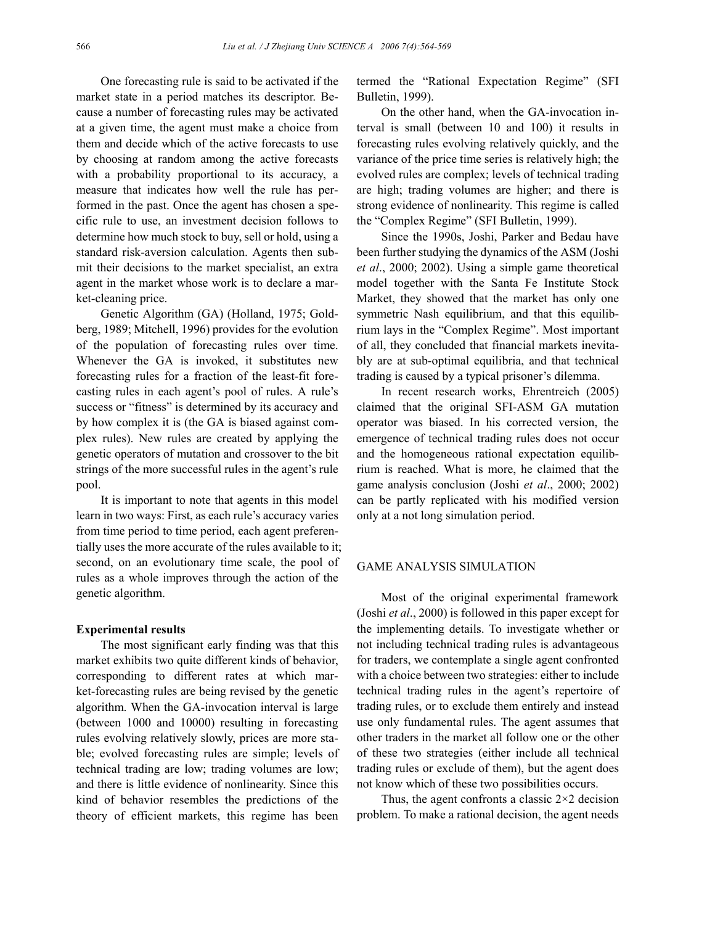One forecasting rule is said to be activated if the market state in a period matches its descriptor. Because a number of forecasting rules may be activated at a given time, the agent must make a choice from them and decide which of the active forecasts to use by choosing at random among the active forecasts with a probability proportional to its accuracy, a measure that indicates how well the rule has performed in the past. Once the agent has chosen a specific rule to use, an investment decision follows to determine how much stock to buy, sell or hold, using a standard risk-aversion calculation. Agents then submit their decisions to the market specialist, an extra agent in the market whose work is to declare a market-cleaning price.

Genetic Algorithm (GA) (Holland, 1975; Goldberg, 1989; Mitchell, 1996) provides for the evolution of the population of forecasting rules over time. Whenever the GA is invoked, it substitutes new forecasting rules for a fraction of the least-fit forecasting rules in each agent's pool of rules. A rule's success or "fitness" is determined by its accuracy and by how complex it is (the GA is biased against complex rules). New rules are created by applying the genetic operators of mutation and crossover to the bit strings of the more successful rules in the agent's rule pool.

It is important to note that agents in this model learn in two ways: First, as each rule's accuracy varies from time period to time period, each agent preferentially uses the more accurate of the rules available to it; second, on an evolutionary time scale, the pool of rules as a whole improves through the action of the genetic algorithm.

#### **Experimental results**

The most significant early finding was that this market exhibits two quite different kinds of behavior, corresponding to different rates at which market-forecasting rules are being revised by the genetic algorithm. When the GA-invocation interval is large (between 1000 and 10000) resulting in forecasting rules evolving relatively slowly, prices are more stable; evolved forecasting rules are simple; levels of technical trading are low; trading volumes are low; and there is little evidence of nonlinearity. Since this kind of behavior resembles the predictions of the theory of efficient markets, this regime has been termed the "Rational Expectation Regime" (SFI Bulletin, 1999).

On the other hand, when the GA-invocation interval is small (between 10 and 100) it results in forecasting rules evolving relatively quickly, and the variance of the price time series is relatively high; the evolved rules are complex; levels of technical trading are high; trading volumes are higher; and there is strong evidence of nonlinearity. This regime is called the "Complex Regime" (SFI Bulletin, 1999).

Since the 1990s, Joshi, Parker and Bedau have been further studying the dynamics of the ASM (Joshi *et al*., 2000; 2002). Using a simple game theoretical model together with the Santa Fe Institute Stock Market, they showed that the market has only one symmetric Nash equilibrium, and that this equilibrium lays in the "Complex Regime". Most important of all, they concluded that financial markets inevitably are at sub-optimal equilibria, and that technical trading is caused by a typical prisoner's dilemma.

In recent research works, Ehrentreich (2005) claimed that the original SFI-ASM GA mutation operator was biased. In his corrected version, the emergence of technical trading rules does not occur and the homogeneous rational expectation equilibrium is reached. What is more, he claimed that the game analysis conclusion (Joshi *et al*., 2000; 2002) can be partly replicated with his modified version only at a not long simulation period.

## GAME ANALYSIS SIMULATION

Most of the original experimental framework (Joshi *et al*., 2000) is followed in this paper except for the implementing details. To investigate whether or not including technical trading rules is advantageous for traders, we contemplate a single agent confronted with a choice between two strategies: either to include technical trading rules in the agent's repertoire of trading rules, or to exclude them entirely and instead use only fundamental rules. The agent assumes that other traders in the market all follow one or the other of these two strategies (either include all technical trading rules or exclude of them), but the agent does not know which of these two possibilities occurs.

Thus, the agent confronts a classic  $2\times 2$  decision problem. To make a rational decision, the agent needs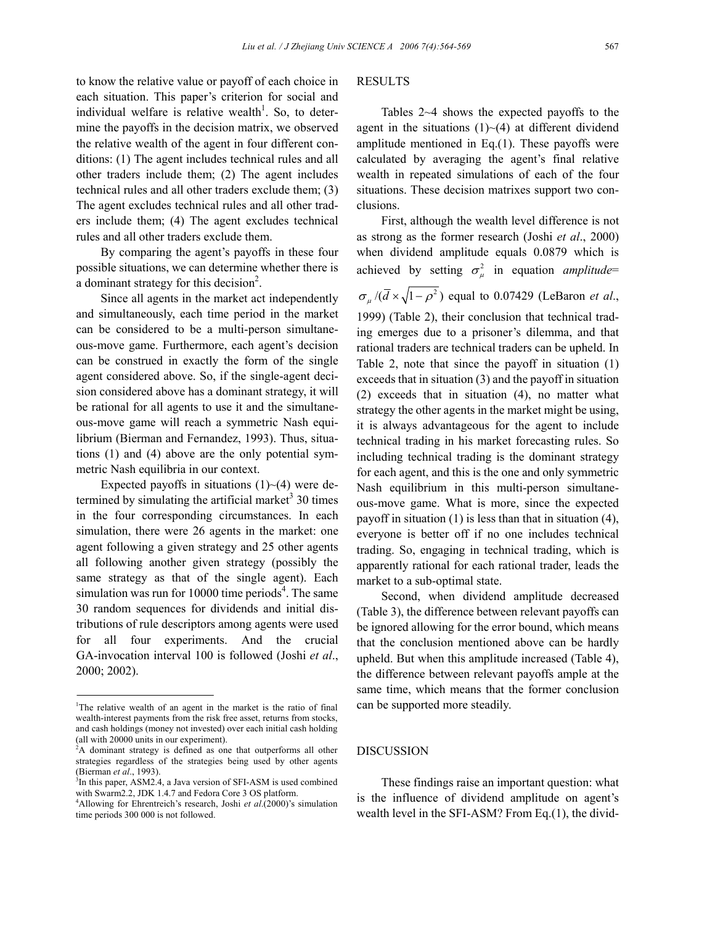to know the relative value or payoff of each choice in each situation. This paper's criterion for social and individual welfare is relative wealth<sup>1</sup>. So, to determine the payoffs in the decision matrix, we observed the relative wealth of the agent in four different conditions: (1) The agent includes technical rules and all other traders include them; (2) The agent includes technical rules and all other traders exclude them; (3) The agent excludes technical rules and all other traders include them; (4) The agent excludes technical rules and all other traders exclude them.

By comparing the agent's payoffs in these four possible situations, we can determine whether there is a dominant strategy for this decision<sup>2</sup>.

Since all agents in the market act independently and simultaneously, each time period in the market can be considered to be a multi-person simultaneous-move game. Furthermore, each agent's decision can be construed in exactly the form of the single agent considered above. So, if the single-agent decision considered above has a dominant strategy, it will be rational for all agents to use it and the simultaneous-move game will reach a symmetric Nash equilibrium (Bierman and Fernandez, 1993). Thus, situations (1) and (4) above are the only potential symmetric Nash equilibria in our context.

Expected payoffs in situations  $(1)$   $\sim$  (4) were determined by simulating the artificial market<sup>3</sup> 30 times in the four corresponding circumstances. In each simulation, there were 26 agents in the market: one agent following a given strategy and 25 other agents all following another given strategy (possibly the same strategy as that of the single agent). Each simulation was run for  $10000$  time periods<sup>4</sup>. The same 30 random sequences for dividends and initial distributions of rule descriptors among agents were used for all four experiments. And the crucial GA-invocation interval 100 is followed (Joshi *et al*., 2000; 2002).

## RESULTS

Tables 2~4 shows the expected payoffs to the agent in the situations  $(1)$   $\neg$  (4) at different dividend amplitude mentioned in Eq.(1). These payoffs were calculated by averaging the agent's final relative wealth in repeated simulations of each of the four situations. These decision matrixes support two conclusions.

First, although the wealth level difference is not as strong as the former research (Joshi *et al*., 2000) when dividend amplitude equals 0.0879 which is achieved by setting  $\sigma_u^2$  in equation *amplitude*=  $\sigma_{\mu}/(\bar{d} \times \sqrt{1-\rho^2})$  equal to 0.07429 (LeBaron *et al.*, 1999) (Table 2), their conclusion that technical trading emerges due to a prisoner's dilemma, and that rational traders are technical traders can be upheld. In Table 2, note that since the payoff in situation (1) exceeds that in situation (3) and the payoff in situation (2) exceeds that in situation (4), no matter what strategy the other agents in the market might be using, it is always advantageous for the agent to include technical trading in his market forecasting rules. So including technical trading is the dominant strategy for each agent, and this is the one and only symmetric Nash equilibrium in this multi-person simultaneous-move game. What is more, since the expected payoff in situation (1) is less than that in situation (4), everyone is better off if no one includes technical trading. So, engaging in technical trading, which is apparently rational for each rational trader, leads the market to a sub-optimal state.

Second, when dividend amplitude decreased (Table 3), the difference between relevant payoffs can be ignored allowing for the error bound, which means that the conclusion mentioned above can be hardly upheld. But when this amplitude increased (Table 4), the difference between relevant payoffs ample at the same time, which means that the former conclusion can be supported more steadily.

## DISCUSSION

These findings raise an important question: what is the influence of dividend amplitude on agent's wealth level in the SFI-ASM? From Eq.(1), the divid-

<sup>&</sup>lt;sup>1</sup>The relative wealth of an agent in the market is the ratio of final wealth-interest payments from the risk free asset, returns from stocks, and cash holdings (money not invested) over each initial cash holding (all with 20000 units in our experiment).

 $2A$  dominant strategy is defined as one that outperforms all other strategies regardless of the strategies being used by other agents (Bierman *et al*., 1993). 3

 ${}^{3}$ In this paper, ASM2.4, a Java version of SFI-ASM is used combined with Swarm2.2, JDK 1.4.7 and Fedora Core 3 OS platform.

<sup>4</sup> Allowing for Ehrentreich's research, Joshi *et al*.(2000)'s simulation time periods 300 000 is not followed.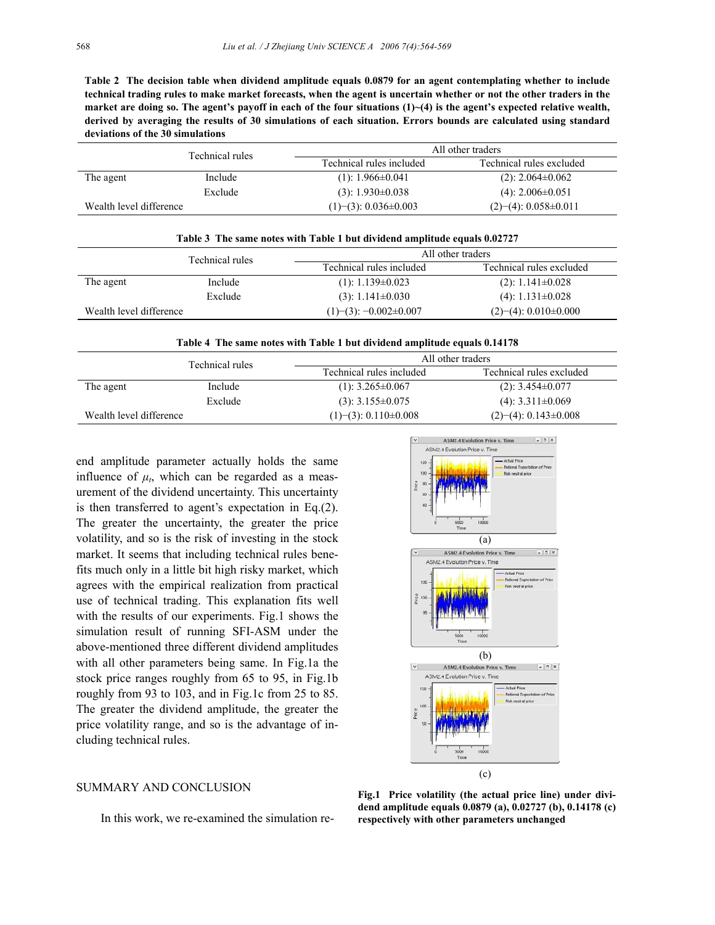**Table 2 The decision table when dividend amplitude equals 0.0879 for an agent contemplating whether to include technical trading rules to make market forecasts, when the agent is uncertain whether or not the other traders in the**  market are doing so. The agent's payoff in each of the four situations  $(1)$   $\sim$  (4) is the agent's expected relative wealth, **derived by averaging the results of 30 simulations of each situation. Errors bounds are calculated using standard deviations of the 30 simulations** 

|                         | Technical rules | All other traders              |                                |
|-------------------------|-----------------|--------------------------------|--------------------------------|
|                         |                 | Technical rules included       | Technical rules excluded       |
| The agent               | Include         | $(1): 1.966 \pm 0.041$         | $(2)$ : 2.064 $\pm$ 0.062      |
|                         | Exclude         | $(3): 1.930\pm0.038$           | $(4)$ : 2.006 $\pm$ 0.051      |
| Wealth level difference |                 | $(1)$ – (3): 0.036 $\pm$ 0.003 | $(2)$ – (4): 0.058 $\pm$ 0.011 |

| Table 3 The same notes with Table 1 but dividend amplitude equals 0.02727 |         |                                 |                                |  |  |
|---------------------------------------------------------------------------|---------|---------------------------------|--------------------------------|--|--|
| Technical rules                                                           |         | All other traders               |                                |  |  |
|                                                                           |         | Technical rules included        | Technical rules excluded       |  |  |
| The agent                                                                 | Include | $(1): 1.139 \pm 0.023$          | $(2): 1.141 \pm 0.028$         |  |  |
|                                                                           | Exclude | $(3): 1.141 \pm 0.030$          | $(4)$ : 1.131 $\pm$ 0.028      |  |  |
| Wealth level difference                                                   |         | $(1)$ – (3): –0.002 $\pm$ 0.007 | $(2)$ – (4): 0.010 $\pm$ 0.000 |  |  |

**Table 4 The same notes with Table 1 but dividend amplitude equals 0.14178** 

|                         | Technical rules | All other traders              |                                |
|-------------------------|-----------------|--------------------------------|--------------------------------|
|                         |                 | Technical rules included       | Technical rules excluded       |
| The agent               | Include         | $(1)$ : 3.265 $\pm$ 0.067      | $(2): 3.454\pm0.077$           |
|                         | Exclude         | $(3)$ : 3.155 $\pm$ 0.075      | $(4)$ : 3.311 $\pm$ 0.069      |
| Wealth level difference |                 | $(1)$ – (3): 0.110 $\pm$ 0.008 | $(2)$ – (4): 0.143 $\pm$ 0.008 |

end amplitude parameter actually holds the same influence of  $\mu_t$ , which can be regarded as a measurement of the dividend uncertainty. This uncertainty is then transferred to agent's expectation in Eq.(2). The greater the uncertainty, the greater the price volatility, and so is the risk of investing in the stock market. It seems that including technical rules benefits much only in a little bit high risky market, which agrees with the empirical realization from practical use of technical trading. This explanation fits well with the results of our experiments. Fig.1 shows the simulation result of running SFI-ASM under the above-mentioned three different dividend amplitudes with all other parameters being same. In Fig.1a the stock price ranges roughly from 65 to 95, in Fig.1b roughly from 93 to 103, and in Fig.1c from 25 to 85. The greater the dividend amplitude, the greater the price volatility range, and so is the advantage of including technical rules.

## SUMMARY AND CONCLUSION

In this work, we re-examined the simulation re-



**Fig.1 Price volatility (the actual price line) under dividend amplitude equals 0.0879 (a), 0.02727 (b), 0.14178 (c) respectively with other parameters unchanged**